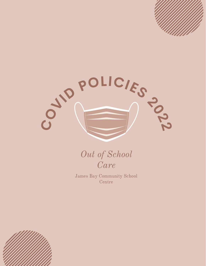

Out of School Care

James Bay Community School Centre

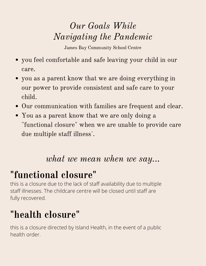## Our Goals While Navigating the Pandemic

James Bay Community School Centre

- you feel comfortable and safe leaving your child in our care.
- you as a parent know that we are doing everything in our power to provide consistent and safe care to your child.
- Our communication with families are frequent and clear.
- You as a parent know that we are only doing a "functional closure" when we are unable to provide care due multiple staff illness'.

## what we mean when we say...

# "functional closure"

this is a closure due to the lack of staff availability due to multiple staff illnesses. The childcare centre will be closed until staff are fully recovered.

# "health closure"

this is a closure directed by Island Health, in the event of a public health order.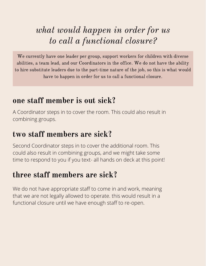## what would happen in order for us to call a functional closure?

We currently have one leader per group, support workers for children with diverse abilities, a team lead, and our Coordinators in the office. We do not have the ability to hire substitute leaders due to the part-time nature of the job, so this is what would have to happen in order for us to call a functional closure.

### one staff member is out sick?

A Coordinator steps in to cover the room. This could also result in combining groups.

#### two staff members are sick?

Second Coordinator steps in to cover the additional room. This could also result in combining groups, and we might take some time to respond to you if you text- all hands on deck at this point!

### three staff members are sick?

We do not have appropriate staff to come in and work, meaning that we are not legally allowed to operate. this would result in a functional closure until we have enough staff to re-open.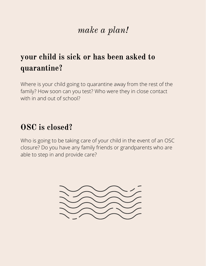## make a plan!

## your child is sick or has been asked to quarantine?

Where is your child going to quarantine away from the rest of the family? How soon can you test? Who were they in close contact with in and out of school?

## OSC is closed?

Who is going to be taking care of your child in the event of an OSC closure? Do you have any family friends or grandparents who are able to step in and provide care?

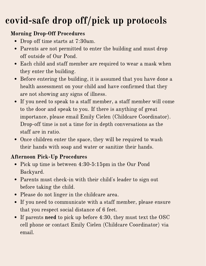# covid-safe drop off/pick up protocols

#### Morning Drop-Off Procedures

- Drop off time starts at 7:30am.
- Parents are not permitted to enter the building and must drop off outside of Our Pond.
- Each child and staff member are required to wear a mask when they enter the building.
- Before entering the building, it is assumed that you have done a health assessment on your child and have confirmed that they are not showing any signs of illness.
- If you need to speak to a staff member, a staff member will come to the door and speak to you. If there is anything of great importance, please email Emily Cielen (Childcare Coordinator). Drop-off time is not a time for in depth conversations as the staff are in ratio.
- Once children enter the space, they will be required to wash their hands with soap and water or sanitize their hands.

#### Afternoon Pick-Up Procedures

- Pick up time is between 4:30-5:15pm in the Our Pond Backyard.
- Parents must check-in with their child's leader to sign out before taking the child.
- Please do not linger in the childcare area.
- If you need to communicate with a staff member, please ensure that you respect social distance of 6 feet.
- If parents need to pick up before 4:30, they must text the OSC cell phone or contact Emily Cielen (Childcare Coordinator) via email.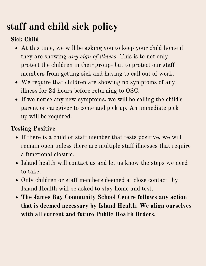# staff and child sick policy

### Sick Child

- At this time, we will be asking you to keep your child home if they are showing *any sign of illness*. This is to not only protect the children in their group- but to protect our staff members from getting sick and having to call out of work.
- We require that children are showing no symptoms of any illness for 24 hours before returning to OSC.
- If we notice any new symptoms, we will be calling the child's parent or caregiver to come and pick up. An immediate pick up will be required.

#### Testing Positive

- If there is a child or staff member that tests positive, we will remain open unless there are multiple staff illnesses that require a functional closure.
- Island health will contact us and let us know the steps we need to take.
- Only children or staff members deemed a "close contact" by Island Health will be asked to stay home and test.
- The James Bay Community School Centre follows any action that is deemed necessary by Island Health. We align ourselves with all current and future Public Health Orders.